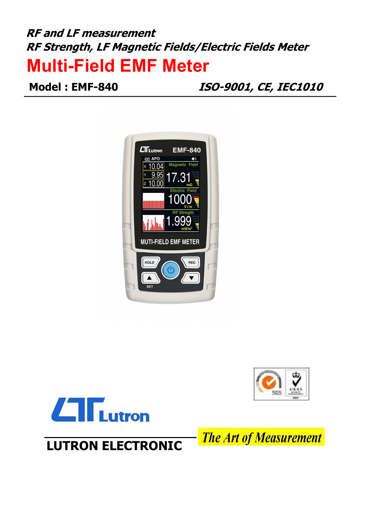# RF and LF measurement RF Strength, LF Magnetic Fields/Electric Fields Meter Multi-Field EMF Meter

Model : EMF-840 ISO-9001, CE, IEC1010







**The Art of Measurement** 

LUTRON ELECTRONIC